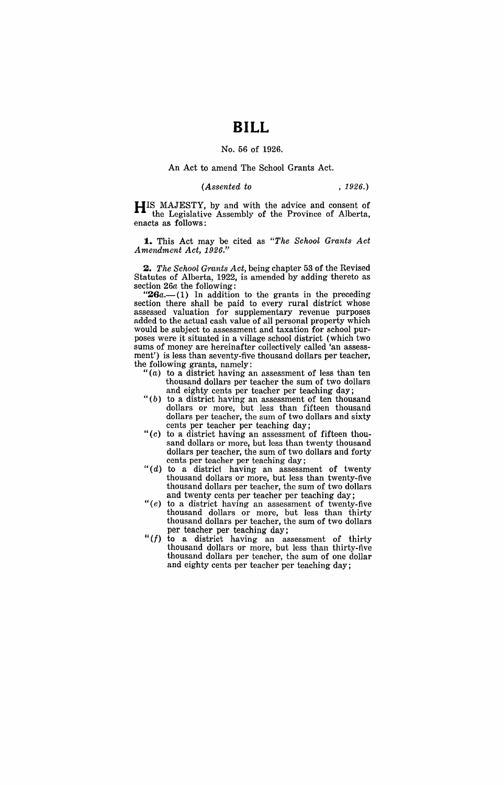# **BILL**

### No. 56 of 1926.

#### An Act to amend The School Grants Act.

#### *(Assented to* , 1926.)

**HIS** MAJESTY, by and with the advice and consent of the Legislative Assembly of the Province of Alberta, enacts as follows:

**1.** This Act may be cited as *"The School Grants Act Amendment Act, 1926."* 

**Z.** *The School Grants Act,* being chapter 53 of the Revised Statutes of Alberta, 1922, is amended by adding thereto as section 26a the following:

 $26a- (1)$  In addition to the grants in the preceding section there shall be paid to every rural district whose assessed valuation for supplementary revenue purposes added to the actual cash value of all personal property which would be subject to assessment and taxation for school purposes were it situated in a village school district (which two sums of money are hereinafter collectively called 'an assessment') is less than seventy-five thousand dollars per teacher, the following grants, namely:

- "(a) to a district having an assessment of less than ten thousand dollars per teacher the sum of two dollars and eighty cents per teacher per teaching day;
- " $(b)$  to a district having an assessment of ten thousand dollars or more, but less than fifteen thousand dollars per teacher, the sum of two dollars and sixty cents per teacher per teaching day;
- "(c) to a district having an assessment of fifteen thousand dollars or more, but less than twenty thousand dollars per teacher, the sum of two dollars and forty cents per teacher per teaching day;
- " $(d)$  to a district having an assessment of twenty thousand dollars or more, but less than twenty-five thousand dollars per teacher, the sum of two dollars and twenty cents per teacher per teaching day;
- "(e) to a district having an assessment of twenty-five thousand dollars or more, but less than thirty thousand dollars per teacher, the sum of two dollars per teacher per teaching day;
- *"(I)* to a district having an assessment of thirty thousand dollars or more, but less than thirty-five thousand dollars per teacher, the sum of one dollar and eighty cents per teacher per teaching day;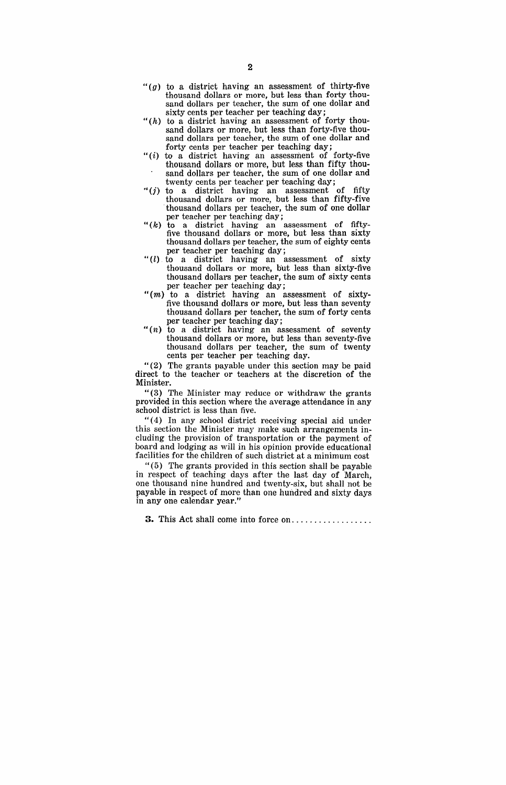- " $(g)$  to a district having an assessment of thirty-five thousand dollars or more, but less than forty thousand dollars per teacher, the sum of one dollar and sixty cents per teacher per teaching day;
- " $(h)$  to a district having an assessment of forty thousand dollars or more, but less than forty-five thousand dollars per teacher, the sum of one dollar and forty cents per teacher per teaching day;
- " $(i)$  to a district having an assessment of forty-five thousand dollars or more, but less than fifty thousand dollars per teacher, the sum of one dollar and
- twenty cents per teacher per teaching day;<br>"(j) to a district having an assessment of fifty thousand dollars or more, but less than fifty-five thousand dollars per teacher, the sum of one dollar per teacher per teaching day;
- " $(k)$  to a district having an assessment of fiftyfive thousand dollars or more, but less than sixty thousand dollars per teacher, the sum of eighty cents per teacher per teaching day;
- "(l) to a district having an assessment of sixty thousand dollars or more, but less than sixty-five thousand dollars per teacher, the sum of sixty cents per teacher per teaching day;
- "(m) to a district having an assessment of sixtyfive thousand dollars or more, but less than seventy thousand dollars per teacher, the sum of forty cents per teacher per teaching day;
- " $(n)$  to a district having an assessment of seventy thousand dollars or more, but less than seventy-five thousand dollars per teacher, the sum of twenty cents per teacher per teaching day.

"(2) The grants payable under this section may be paid direct to the teacher or teachers at the discretion of the Minister.

" $(3)$  The Minister may reduce or withdraw the grants provided in this section where the average attendance in any school district is less than five.

"(4) In any school district receiving special aid under this section the Minister may make such arrangements including the provision of transportation or the payment of board and lodging as will in his opinion provide educational facilities for the children of such district at a minimum cost

" (5) The grants provided in this section shall be payable in respect of teaching days after the last day of March, one thousand nine hundred and twenty-six, but shall not be payable in respect of more than one hundred and sixty days in anyone calendar year."

**3.** This Act shall come into force on ................. .